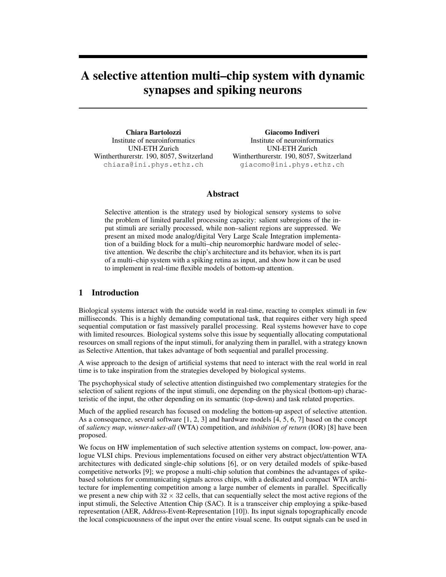# A selective attention multi–chip system with dynamic synapses and spiking neurons

Chiara Bartolozzi Institute of neuroinformatics UNI-ETH Zurich Wintherthurerstr. 190, 8057, Switzerland chiara@ini.phys.ethz.ch

Giacomo Indiveri Institute of neuroinformatics UNI-ETH Zurich Wintherthurerstr. 190, 8057, Switzerland giacomo@ini.phys.ethz.ch

#### Abstract

Selective attention is the strategy used by biological sensory systems to solve the problem of limited parallel processing capacity: salient subregions of the input stimuli are serially processed, while non–salient regions are suppressed. We present an mixed mode analog/digital Very Large Scale Integration implementation of a building block for a multi–chip neuromorphic hardware model of selective attention. We describe the chip's architecture and its behavior, when its is part of a multi–chip system with a spiking retina as input, and show how it can be used to implement in real-time flexible models of bottom-up attention.

## 1 Introduction

Biological systems interact with the outside world in real-time, reacting to complex stimuli in few milliseconds. This is a highly demanding computational task, that requires either very high speed sequential computation or fast massively parallel processing. Real systems however have to cope with limited resources. Biological systems solve this issue by sequentially allocating computational resources on small regions of the input stimuli, for analyzing them in parallel, with a strategy known as Selective Attention, that takes advantage of both sequential and parallel processing.

A wise approach to the design of artificial systems that need to interact with the real world in real time is to take inspiration from the strategies developed by biological systems.

The psychophysical study of selective attention distinguished two complementary strategies for the selection of salient regions of the input stimuli, one depending on the physical (bottom-up) characteristic of the input, the other depending on its semantic (top-down) and task related properties.

Much of the applied research has focused on modeling the bottom-up aspect of selective attention. As a consequence, several software [1, 2, 3] and hardware models [4, 5, 6, 7] based on the concept of *saliency map*, *winner-takes-all* (WTA) competition, and *inhibition of return* (IOR) [8] have been proposed.

We focus on HW implementation of such selective attention systems on compact, low-power, analogue VLSI chips. Previous implementations focused on either very abstract object/attention WTA architectures with dedicated single-chip solutions [6], or on very detailed models of spike-based competitive networks [9]; we propose a multi-chip solution that combines the advantages of spikebased solutions for communicating signals across chips, with a dedicated and compact WTA architecture for implementing competition among a large number of elements in parallel. Specifically we present a new chip with  $32 \times 32$  cells, that can sequentially select the most active regions of the input stimuli, the Selective Attention Chip (SAC). It is a transceiver chip employing a spike-based representation (AER, Address-Event-Representation [10]). Its input signals topographically encode the local conspicuousness of the input over the entire visual scene. Its output signals can be used in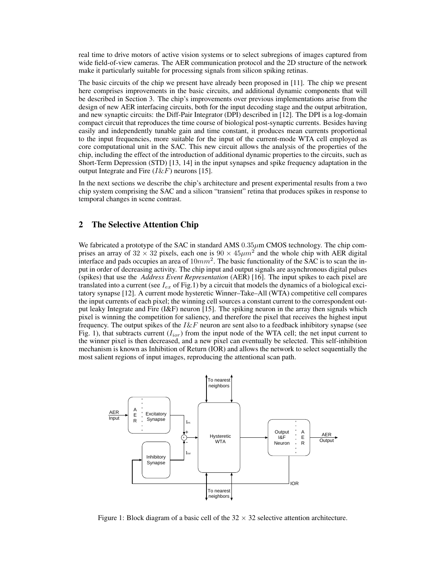real time to drive motors of active vision systems or to select subregions of images captured from wide field-of-view cameras. The AER communication protocol and the 2D structure of the network make it particularly suitable for processing signals from silicon spiking retinas.

The basic circuits of the chip we present have already been proposed in [11]. The chip we present here comprises improvements in the basic circuits, and additional dynamic components that will be described in Section 3. The chip's improvements over previous implementations arise from the design of new AER interfacing circuits, both for the input decoding stage and the output arbitration, and new synaptic circuits: the Diff-Pair Integrator (DPI) described in [12]. The DPI is a log-domain compact circuit that reproduces the time course of biological post-synaptic currents. Besides having easily and independently tunable gain and time constant, it produces mean currents proportional to the input frequencies, more suitable for the input of the current-mode WTA cell employed as core computational unit in the SAC. This new circuit allows the analysis of the properties of the chip, including the effect of the introduction of additional dynamic properties to the circuits, such as Short-Term Depression (STD) [13, 14] in the input synapses and spike frequency adaptation in the output Integrate and Fire  $(I \& F)$  neurons [15].

In the next sections we describe the chip's architecture and present experimental results from a two chip system comprising the SAC and a silicon "transient" retina that produces spikes in response to temporal changes in scene contrast.

## 2 The Selective Attention Chip

We fabricated a prototype of the SAC in standard AMS  $0.35\mu$ m CMOS technology. The chip comprises an array of  $32 \times 32$  pixels, each one is  $90 \times 45 \mu m^2$  and the whole chip with AER digital interface and pads occupies an area of  $10mm^2$ . The basic functionality of the SAC is to scan the input in order of decreasing activity. The chip input and output signals are asynchronous digital pulses (spikes) that use the *Address Event Representation* (AER) [16]. The input spikes to each pixel are translated into a current (see  $I_{ex}$  of Fig.1) by a circuit that models the dynamics of a biological excitatory synapse [12]. A current mode hysteretic Winner–Take–All (WTA) competitive cell compares the input currents of each pixel; the winning cell sources a constant current to the correspondent output leaky Integrate and Fire (I&F) neuron [15]. The spiking neuron in the array then signals which pixel is winning the competition for saliency, and therefore the pixel that receives the highest input frequency. The output spikes of the  $I\&F$  neuron are sent also to a feedback inhibitory synapse (see Fig. 1), that subtracts current  $(I_{i\sigma r})$  from the input node of the WTA cell; the net input current to the winner pixel is then decreased, and a new pixel can eventually be selected. This self-inhibition mechanism is known as Inhibition of Return (IOR) and allows the network to select sequentially the most salient regions of input images, reproducing the attentional scan path.



Figure 1: Block diagram of a basic cell of the  $32 \times 32$  selective attention architecture.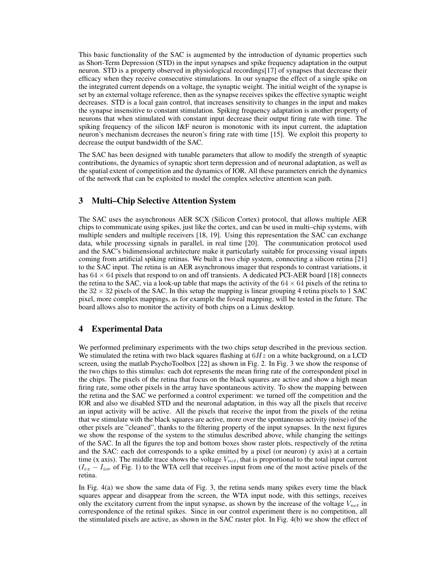This basic functionality of the SAC is augmented by the introduction of dynamic properties such as Short-Term Depression (STD) in the input synapses and spike frequency adaptation in the output neuron. STD is a property observed in physiological recordings[17] of synapses that decrease their efficacy when they receive consecutive stimulations. In our synapse the effect of a single spike on the integrated current depends on a voltage, the synaptic weight. The initial weight of the synapse is set by an external voltage reference, then as the synapse receives spikes the effective synaptic weight decreases. STD is a local gain control, that increases sensitivity to changes in the input and makes the synapse insensitive to constant stimulation. Spiking frequency adaptation is another property of neurons that when stimulated with constant input decrease their output firing rate with time. The spiking frequency of the silicon I&F neuron is monotonic with its input current, the adaptation neuron's mechanism decreases the neuron's firing rate with time [15]. We exploit this property to decrease the output bandwidth of the SAC.

The SAC has been designed with tunable parameters that allow to modify the strength of synaptic contributions, the dynamics of synaptic short term depression and of neuronal adaptation, as well as the spatial extent of competition and the dynamics of IOR. All these parameters enrich the dynamics of the network that can be exploited to model the complex selective attention scan path.

# 3 Multi–Chip Selective Attention System

The SAC uses the asynchronous AER SCX (Silicon Cortex) protocol, that allows multiple AER chips to communicate using spikes, just like the cortex, and can be used in multi–chip systems, with multiple senders and multiple receivers [18, 19]. Using this representation the SAC can exchange data, while processing signals in parallel, in real time [20]. The communication protocol used and the SAC's bidimensional architecture make it particularly suitable for processing visual inputs coming from artificial spiking retinas. We built a two chip system, connecting a silicon retina [21] to the SAC input. The retina is an AER asynchronous imager that responds to contrast variations, it has  $64 \times 64$  pixels that respond to on and off transients. A dedicated PCI-AER board [18] connects the retina to the SAC, via a look-up table that maps the activity of the  $64 \times 64$  pixels of the retina to the  $32 \times 32$  pixels of the SAC. In this setup the mapping is linear grouping 4 retina pixels to 1 SAC pixel, more complex mappings, as for example the foveal mapping, will be tested in the future. The board allows also to monitor the activity of both chips on a Linux desktop.

# 4 Experimental Data

We performed preliminary experiments with the two chips setup described in the previous section. We stimulated the retina with two black squares flashing at  $6Hz$  on a white background, on a LCD screen, using the matlab PsychoToolbox [22] as shown in Fig. 2. In Fig. 3 we show the response of the two chips to this stimulus: each dot represents the mean firing rate of the correspondent pixel in the chips. The pixels of the retina that focus on the black squares are active and show a high mean firing rate, some other pixels in the array have spontaneous activity. To show the mapping between the retina and the SAC we performed a control experiment: we turned off the competition and the IOR and also we disabled STD and the neuronal adaptation, in this way all the pixels that receive an input activity will be active. All the pixels that receive the input from the pixels of the retina that we stimulate with the black squares are active, more over the spontaneous activity (noise) of the other pixels are "cleaned", thanks to the filtering property of the input synapses. In the next figures we show the response of the system to the stimulus described above, while changing the settings of the SAC. In all the figures the top and bottom boxes show raster plots, respectively of the retina and the SAC: each dot corresponds to a spike emitted by a pixel (or neuron) (y axis) at a certain time (x axis). The middle trace shows the voltage  $V_{net}$ , that is proportional to the total input current  $(I_{ex} - I_{ior}$  of Fig. 1) to the WTA cell that receives input from one of the most active pixels of the retina.

In Fig. 4(a) we show the same data of Fig. 3, the retina sends many spikes every time the black squares appear and disappear from the screen, the WTA input node, with this settings, receives only the excitatory current from the input synapse, as shown by the increase of the voltage  $V_{net}$  in correspondence of the retinal spikes. Since in our control experiment there is no competition, all the stimulated pixels are active, as shown in the SAC raster plot. In Fig. 4(b) we show the effect of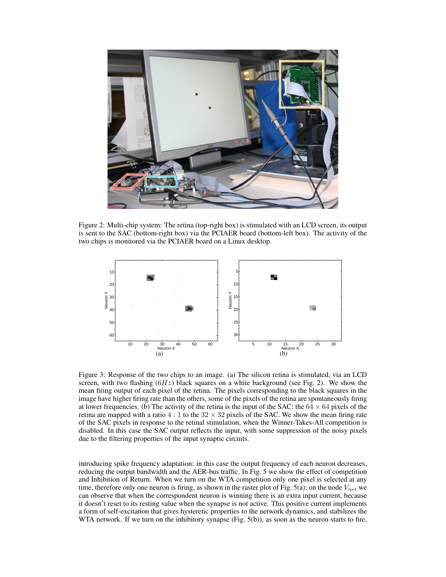

Figure 2: Multi-chip system: The retina (top-right box) is stimulated with an LCD screen, its output is sent to the SAC (bottom-right box) via the PCIAER board (bottom-left box). The activity of the two chips is monitored via the PCIAER board on a Linux desktop.



Figure 3: Response of the two chips to an image. (a) The silicon retina is stimulated, via an LCD screen, with two flashing  $(6Hz)$  black squares on a white background (see Fig. 2). We show the mean firing output of each pixel of the retina. The pixels corresponding to the black squares in the image have higher firing rate than the others, some of the pixels of the retina are spontaneously firing at lower frequencies. (b) The activity of the retina is the input of the SAC: the  $64 \times 64$  pixels of the retina are mapped with a ratio  $4:1$  to the  $32 \times 32$  pixels of the SAC. We show the mean firing rate of the SAC pixels in response to the retinal stimulation, when the Winner-Takes-All competition is disabled. In this case the SAC output reflects the input, with some suppression of the noisy pixels due to the filtering properties of the input synaptic circuits.

introducing spike frequency adaptation: in this case the output frequency of each neuron decreases, reducing the output bandwidth and the AER-bus traffic. In Fig. 5 we show the effect of competition and Inhibition of Return. When we turn on the WTA competition only one pixel is selected at any time, therefore only one neuron is firing, as shown in the raster plot of Fig. 5(a); on the node  $V_{net}$  we can observe that when the correspondent neuron is winning there is an extra input current, because it doesn't reset to its resting value when the synapse is not active. This positive current implements a form of self-excitation that gives hysteretic properties to the network dynamics, and stabilizes the WTA network. If we turn on the inhibitory synapse (Fig. 5(b)), as soon as the neuron starts to fire,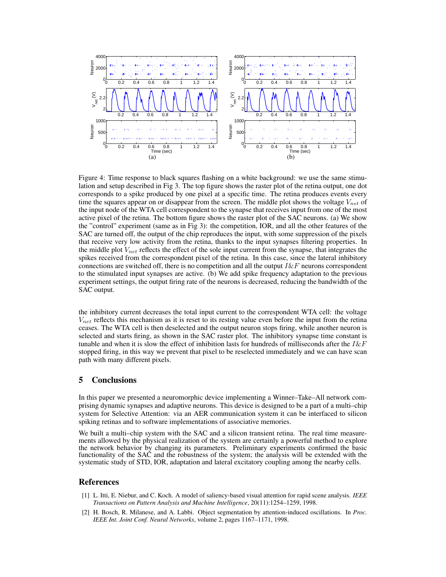

Figure 4: Time response to black squares flashing on a white background: we use the same stimulation and setup described in Fig 3. The top figure shows the raster plot of the retina output, one dot corresponds to a spike produced by one pixel at a specific time. The retina produces events every time the squares appear on or disappear from the screen. The middle plot shows the voltage  $V_{net}$  of the input node of the WTA cell correspondent to the synapse that receives input from one of the most active pixel of the retina. The bottom figure shows the raster plot of the SAC neurons. (a) We show the "control" experiment (same as in Fig 3): the competition, IOR, and all the other features of the SAC are turned off, the output of the chip reproduces the input, with some suppression of the pixels that receive very low activity from the retina, thanks to the input synapses filtering properties. In the middle plot  $V_{net}$  reflects the effect of the sole input current from the synapse, that integrates the spikes received from the correspondent pixel of the retina. In this case, since the lateral inhibitory connections are switched off, there is no competition and all the output  $I \& F$  neurons correspondent to the stimulated input synapses are active. (b) We add spike frequency adaptation to the previous experiment settings, the output firing rate of the neurons is decreased, reducing the bandwidth of the SAC output.

the inhibitory current decreases the total input current to the correspondent WTA cell: the voltage  $V_{net}$  reflects this mechanism as it is reset to its resting value even before the input from the retina ceases. The WTA cell is then deselected and the output neuron stops firing, while another neuron is selected and starts firing, as shown in the SAC raster plot. The inhibitory synapse time constant is tunable and when it is slow the effect of inhibition lasts for hundreds of milliseconds after the  $I\&F$ stopped firing, in this way we prevent that pixel to be reselected immediately and we can have scan path with many different pixels.

#### 5 Conclusions

In this paper we presented a neuromorphic device implementing a Winner–Take–All network comprising dynamic synapses and adaptive neurons. This device is designed to be a part of a multi–chip system for Selective Attention: via an AER communication system it can be interfaced to silicon spiking retinas and to software implementations of associative memories.

We built a multi–chip system with the SAC and a silicon transient retina. The real time measurements allowed by the physical realization of the system are certainly a powerful method to explore the network behavior by changing its parameters. Preliminary experiments confirmed the basic functionality of the SAC and the robustness of the system; the analysis will be extended with the systematic study of STD, IOR, adaptation and lateral excitatory coupling among the nearby cells.

#### References

- [1] L. Itti, E. Niebur, and C. Koch. A model of saliency-based visual attention for rapid scene analysis. *IEEE Transactions on Pattern Analysis and Machine Intelligence*, 20(11):1254–1259, 1998.
- [2] H. Bosch, R. Milanese, and A. Labbi. Object segmentation by attention-induced oscillations. In *Proc. IEEE Int. Joint Conf. Neural Networks*, volume 2, pages 1167–1171, 1998.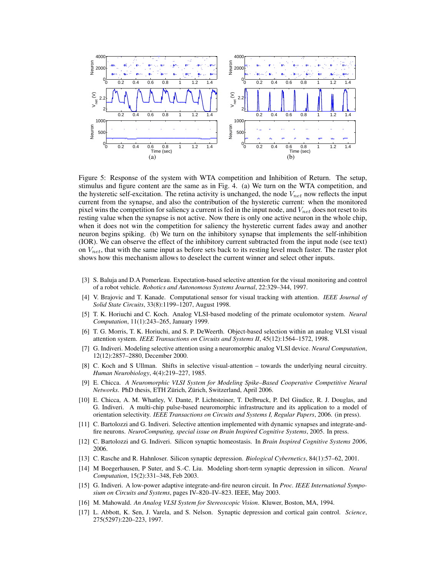

Figure 5: Response of the system with WTA competition and Inhibition of Return. The setup, stimulus and figure content are the same as in Fig. 4. (a) We turn on the WTA competition, and the hysteretic self-excitation. The retina activity is unchanged, the node  $V_{net}$  now reflects the input current from the synapse, and also the contribution of the hysteretic current: when the monitored pixel wins the competition for saliency a current is fed in the input node, and  $V_{net}$  does not reset to its resting value when the synapse is not active. Now there is only one active neuron in the whole chip, when it does not win the competition for saliency the hysteretic current fades away and another neuron begins spiking. (b) We turn on the inhibitory synapse that implements the self-inhibition (IOR). We can observe the effect of the inhibitory current subtracted from the input node (see text) on  $V_{net}$ , that with the same input as before sets back to its resting level much faster. The raster plot shows how this mechanism allows to deselect the current winner and select other inputs.

- [3] S. Baluja and D.A Pomerleau. Expectation-based selective attention for the visual monitoring and control of a robot vehicle. *Robotics and Autonomous Systems Journal*, 22:329–344, 1997.
- [4] V. Brajovic and T. Kanade. Computational sensor for visual tracking with attention. *IEEE Journal of Solid State Circuits*, 33(8):1199–1207, August 1998.
- [5] T. K. Horiuchi and C. Koch. Analog VLSI-based modeling of the primate oculomotor system. *Neural Computation*, 11(1):243–265, January 1999.
- [6] T. G. Morris, T. K. Horiuchi, and S. P. DeWeerth. Object-based selection within an analog VLSI visual attention system. *IEEE Transactions on Circuits and Systems II*, 45(12):1564–1572, 1998.
- [7] G. Indiveri. Modeling selective attention using a neuromorphic analog VLSI device. *Neural Computation*, 12(12):2857–2880, December 2000.
- [8] C. Koch and S Ullman. Shifts in selective visual-attention towards the underlying neural circuitry. *Human Neurobiology*, 4(4):219–227, 1985.
- [9] E. Chicca. *A Neuromorphic VLSI System for Modeling Spike–Based Cooperative Competitive Neural Networks*. PhD thesis, ETH Zürich, Zürich, Switzerland, April 2006.
- [10] E. Chicca, A. M. Whatley, V. Dante, P. Lichtsteiner, T. Delbruck, P. Del Giudice, R. J. Douglas, and G. Indiveri. A multi-chip pulse-based neuromorphic infrastructure and its application to a model of orientation selectivity. *IEEE Transactions on Circuits and Systems I, Regular Papers*, 2006. (in press).
- [11] C. Bartolozzi and G. Indiveri. Selective attention implemented with dynamic synapses and integrate-andfire neurons. *NeuroComputing, special issue on Brain Inspired Cognitive Systems*, 2005. In press.
- [12] C. Bartolozzi and G. Indiveri. Silicon synaptic homeostasis. In *Brain Inspired Cognitive Systems 2006*, 2006.
- [13] C. Rasche and R. Hahnloser. Silicon synaptic depression. *Biological Cybernetics*, 84(1):57–62, 2001.
- [14] M Boegerhausen, P Suter, and S.-C. Liu. Modeling short-term synaptic depression in silicon. *Neural Computation*, 15(2):331–348, Feb 2003.
- [15] G. Indiveri. A low-power adaptive integrate-and-fire neuron circuit. In *Proc. IEEE International Symposium on Circuits and Systems*, pages IV–820–IV–823. IEEE, May 2003.
- [16] M. Mahowald. *An Analog VLSI System for Stereoscopic Vision*. Kluwer, Boston, MA, 1994.
- [17] L. Abbott, K. Sen, J. Varela, and S. Nelson. Synaptic depression and cortical gain control. *Science*, 275(5297):220–223, 1997.